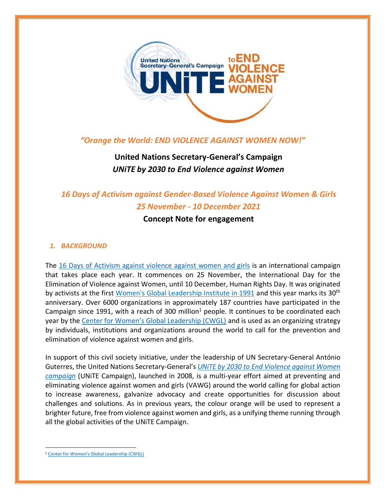

## *"Orange the World: END VIOLENCE AGAINST WOMEN NOW!"*

# **United Nations Secretary-General's Campaign** *UNiTE by 2030 to End Violence against Women*

## *16 Days of Activism against Gender-Based Violence Against Women & Girls 25 November - 10 December 2021*

## **Concept Note for engagement**

#### *1. BACKGROUND*

The [16 Days of Activism against violence](https://16dayscwgl.rutgers.edu/) against women and girls is an international campaign that takes place each year. It commences on 25 November, the International Day for the Elimination of Violence against Women, until 10 December, Human Rights Day. It was originated by activists at the first [Women's Global Leadership Institute in 1991](https://16dayscampaign.org/about-the-campaign/) and this year marks its 30<sup>th</sup> anniversary. Over 6000 organizations in approximately 187 countries have participated in the Campaign since 1991, with a reach of 300 million $1$  people. It continues to be coordinated each year by the [Center for Women's Global Leadership \(CWGL\)](https://16dayscampaign.org/about-the-campaign/about-cwgl/) and is used as an organizing strategy by individuals, institutions and organizations around the world to call for the prevention and elimination of violence against women and girls.

In support of this civil society initiative, under the leadership of UN Secretary-General António Guterres, the United Nations Secretary-General's *[UNiTE by 2030 to End Violence against](https://www.unwomen.org/en/what-we-do/ending-violence-against-women/take-action) Women [campaign](https://www.unwomen.org/en/what-we-do/ending-violence-against-women/take-action)* (UNiTE Campaign), launched in 2008, is a multi-year effort aimed at preventing and eliminating violence against women and girls (VAWG) around the world calling for global action to increase awareness, galvanize advocacy and create opportunities for discussion about challenges and solutions. As in previous years, the colour orange will be used to represent a brighter future, free from violence against women and girls, as a unifying theme running through all the global activities of the UNiTE Campaign.

<sup>&</sup>lt;sup>1</sup> [Center for Women's Global Leadership \(CWGL\)](https://16dayscampaign.org/about-the-campaign/about-cwgl/)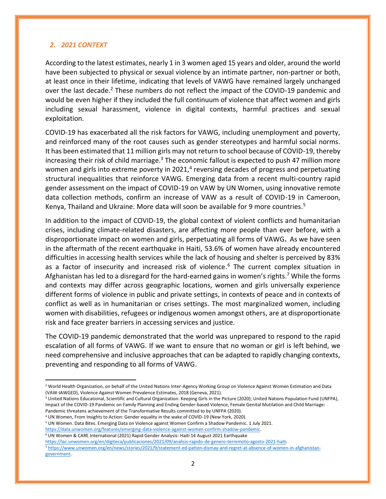#### *2. 2021 CONTEXT*

According to the latest estimates, nearly 1 in 3 women aged 15 years and older, around the world have been subjected to physical or sexual violence by an intimate partner, non-partner or both, at least once in their lifetime, indicating that levels of VAWG have remained largely unchanged over the last decade.<sup>2</sup> These numbers do not reflect the impact of the COVID-19 pandemic and would be even higher if they included the full continuum of violence that affect women and girls including sexual harassment, violence in digital contexts, harmful practices and sexual exploitation.

COVID-19 has exacerbated all the risk factors for VAWG, including unemployment and poverty, and reinforced many of the root causes such as gender stereotypes and harmful social norms. It has been estimated that 11 million girls may not return to school because of COVID-19, thereby increasing their risk of child marriage.<sup>3</sup> The economic fallout is expected to push 47 million more women and girls into extreme poverty in 2021,<sup>4</sup> reversing decades of progress and perpetuating structural inequalities that reinforce VAWG. Emerging data from a recent multi-country rapid gender assessment on the impact of COVID-19 on VAW by UN Women, using innovative remote data collection methods, confirm an increase of VAW as a result of COVID-19 in Cameroon, Kenya, Thailand and Ukraine. More data will soon be available for 9 more countries. 5

In addition to the impact of COVID-19, the global context of violent conflicts and humanitarian crises, including climate-related disasters, are affecting more people than ever before, with a disproportionate impact on women and girls, perpetuating all forms of VAWG**.** As we have seen in the aftermath of the recent earthquake in Haiti, 53.6% of women have already encountered difficulties in accessing health services while the lack of housing and shelter is perceived by 83% as a factor of insecurity and increased risk of violence.<sup>6</sup> The current complex situation in Afghanistan has led to a disregard for the hard-earned gains in women's rights.<sup>7</sup> While the forms and contexts may differ across geographic locations, women and girls universally experience different forms of violence in public and private settings, in contexts of peace and in contexts of conflict as well as in humanitarian or crises settings. The most marginalized women, including women with disabilities, refugees or indigenous women amongst others, are at disproportionate risk and face greater barriers in accessing services and justice.

The COVID-19 pandemic demonstrated that the world was unprepared to respond to the rapid escalation of all forms of VAWG. If we want to ensure that no woman or girl is left behind, we need comprehensive and inclusive approaches that can be adapted to rapidly changing contexts, preventing and responding to all forms of VAWG.

<sup>&</sup>lt;sup>2</sup> World Health Organization, on behalf of the United Nations Inter-Agency Working Group on Violence Against Women Estimation and Data (VAW-IAWGED), Violence Against Women Prevalence Estimates, 2018 (Geneva, 2021).

<sup>&</sup>lt;sup>3</sup> United Nations Educational, Scientific and Cultural Organization. Keeping Girls in the Picture (2020); United Nations Population Fund (UNFPA), Impact of the COVID-19 Pandemic on Family Planning and Ending Gender-based Violence, Female Genital Mutilation and Child Marriage: Pandemic threatens achievement of the Transformative Results committed to by UNFPA (2020).

<sup>4</sup> UN Women, From Insights to Action: Gender equality in the wake of COVID-19 (New York, 2020).

<sup>5</sup> UN Women. Data Bites. Emerging Data on Violence against Women Confirm a Shadow Pandemic. 1 July 2021.

[https://data.unwomen.org/features/emerging-data-violence-against-women-confirm-shadow-pandemic.](https://data.unwomen.org/features/emerging-data-violence-against-women-confirm-shadow-pandemic)

<sup>6</sup> UN Women & CARE International (2021) Rapid Gender Analysis: Haiti 14 August 2021 Earthquake

[https://lac.unwomen.org/en/digiteca/publicaciones/2021/09/analisis-rapido-de-genero-terremoto-agosto-2021-haiti.](https://lac.unwomen.org/en/digiteca/publicaciones/2021/09/analisis-rapido-de-genero-terremoto-agosto-2021-haiti)

<sup>7</sup> [https://www.unwomen.org/en/news/stories/2021/9/statement-ed-patten-dismay-and-regret-at-absence-of-women-in-afghanistan](https://www.unwomen.org/en/news/stories/2021/9/statement-ed-patten-dismay-and-regret-at-absence-of-women-in-afghanistan-government)[government.](https://www.unwomen.org/en/news/stories/2021/9/statement-ed-patten-dismay-and-regret-at-absence-of-women-in-afghanistan-government)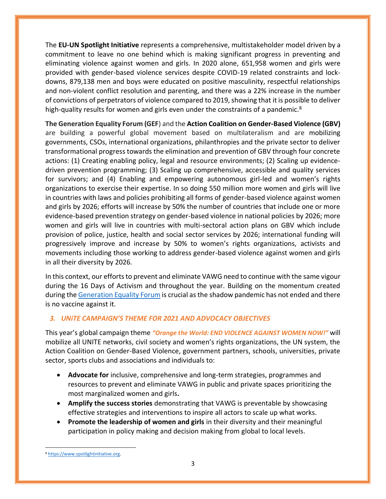The **EU-UN Spotlight Initiative** represents a comprehensive, multistakeholder model driven by a commitment to leave no one behind which is making significant progress in preventing and eliminating violence against women and girls. In 2020 alone, 651,958 women and girls were provided with gender-based violence services despite COVID-19 related constraints and lockdowns, 879,138 men and boys were educated on positive masculinity, respectful relationships and non-violent conflict resolution and parenting, and there was a 22% increase in the number of convictions of perpetrators of violence compared to 2019, showing that it is possible to deliver high-quality results for women and girls even under the constraints of a pandemic.<sup>8</sup>

**The Generation Equality Forum (GEF**) and the **Action Coalition on Gender-Based Violence (GBV)** are building a powerful global movement based on multilateralism and are mobilizing governments, CSOs, international organizations, philanthropies and the private sector to deliver transformational progress towards the elimination and prevention of GBV through four concrete actions: (1) Creating enabling policy, legal and resource environments; (2) Scaling up evidencedriven prevention programming; (3) Scaling up comprehensive, accessible and quality services for survivors; and (4) Enabling and empowering autonomous girl-led and women's rights organizations to exercise their expertise. In so doing 550 million more women and girls will live in countries with laws and policies prohibiting all forms of gender-based violence against women and girls by 2026; efforts will increase by 50% the number of countries that include one or more evidence-based prevention strategy on gender-based violence in national policies by 2026; more women and girls will live in countries with multi-sectoral action plans on GBV which include provision of police, justice, health and social sector services by 2026; international funding will progressively improve and increase by 50% to women's rights organizations, activists and movements including those working to address gender-based violence against women and girls in all their diversity by 2026.

In this context, our efforts to prevent and eliminate VAWG need to continue with the same vigour during the 16 Days of Activism and throughout the year. Building on the momentum created during the [Generation Equality Forum](https://forum.generationequality.org/) is crucial as the shadow pandemic has not ended and there is no vaccine against it.

### *3. UNiTE CAMPAIGN'S THEME FOR 2021 AND ADVOCACY OBJECTIVES*

This year's global campaign theme *"Orange the World: END VIOLENCE AGAINST WOMEN NOW!"* will mobilize all UNITE networks, civil society and women's rights organizations, the UN system, the Action Coalition on Gender-Based Violence, government partners, schools, universities, private sector, sports clubs and associations and individuals to:

- **Advocate for** inclusive, comprehensive and long-term strategies, programmes and resources to prevent and eliminate VAWG in public and private spaces prioritizing the most marginalized women and girls**.**
- **Amplify the success stories** demonstrating that VAWG is preventable by showcasing effective strategies and interventions to inspire all actors to scale up what works.
- **Promote the leadership of women and girls** in their diversity and their meaningful participation in policy making and decision making from global to local levels.

<sup>8</sup> [https://www.spotlightinitiative.org.](https://www.spotlightinitiative.org/)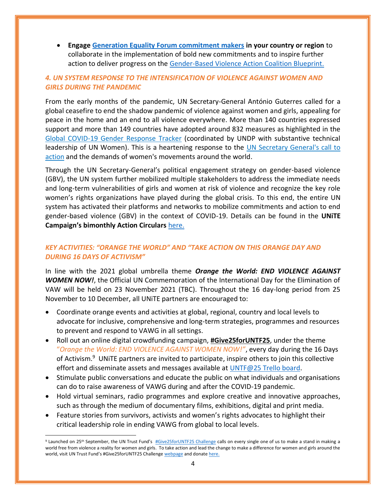• **Engage [Generation Equality Forum commitment makers](https://forum.generationequality.org/sites/default/files/2021-09/GEF%20Commitment%20Makers.pdf) in your country or region** to collaborate in the implementation of bold new commitments and to inspire further action to deliver progress on the [Gender-Based Violence Action Coalition Blueprint.](https://forum.generationequality.org/sites/default/files/2021-06/UNW%20-%20GAP%20Report%20-%20EN.pdf)

## *4. UN SYSTEM RESPONSE TO THE INTENSIFICATION OF VIOLENCE AGAINST WOMEN AND GIRLS DURING THE PANDEMIC*

From the early months of the pandemic, UN Secretary-General António Guterres called for a global ceasefire to end the shadow pandemic of violence against women and girls, appealing for peace in the home and an end to all violence everywhere. More than 140 countries expressed support and more than 149 countries have adopted around 832 measures as highlighted in the [Global COVID-19 Gender Response Tracker](https://data.undp.org/gendertracker/) (coordinated by UNDP with substantive technical leadership of UN Women). This is a heartening response to the [UN Secretary General's call to](https://www.unwomen.org/en/news/stories/2020/4/statement-sg-put-women-and-girls-at-the-centre-of-efforts-to-recover-from-covid19)  [action](https://www.unwomen.org/en/news/stories/2020/4/statement-sg-put-women-and-girls-at-the-centre-of-efforts-to-recover-from-covid19) and the demands of women's movements around the world.

Through the UN Secretary-General's political engagement strategy on gender-based violence (GBV), the UN system further mobilized multiple stakeholders to address the immediate needs and long-term vulnerabilities of girls and women at risk of violence and recognize the key role women's rights organizations have played during the global crisis. To this end, the entire UN system has activated their platforms and networks to mobilize commitments and action to end gender-based violence (GBV) in the context of COVID-19. Details can be found in the **UNiTE Campaign's bimonthly Action Circulars** [here.](https://www.unwomen.org/en/what-we-do/ending-violence-against-women/take-action)

## *KEY ACTIVITIES: "ORANGE THE WORLD" AND "TAKE ACTION ON THIS ORANGE DAY AND DURING 16 DAYS OF ACTIVISM"*

In line with the 2021 global umbrella theme *Orange the World: END VIOLENCE AGAINST WOMEN NOW!*, the Official UN Commemoration of the International Day for the Elimination of VAW will be held on 23 November 2021 (TBC). Throughout the 16 day-long period from 25 November to 10 December, all UNiTE partners are encouraged to:

- Coordinate orange events and activities at global, regional, country and local levels to advocate for inclusive, comprehensive and long-term strategies, programmes and resources to prevent and respond to VAWG in all settings.
- Roll out an online digital crowdfunding campaign, **[#Give25forUNTF25](https://untf.unwomen.org/en/news-and-events/stories/2021/09/give25foruntf25-challenge?mc_cid=bfe4e19007&mc_eid=e9bce5db8a)**, under the theme "*Orange the World: END VIOLENCE AGAINST WOMEN NOW!"*, every day during the 16 Days of Activism.<sup>9</sup> UNiTE partners are invited to participate, inspire others to join this collective effort and disseminate assets and messages available at [UNTF@25 Trello board.](https://trello.com/b/6a35X9jo/untf25)
- Stimulate public conversations and educate the public on what individuals and organisations can do to raise awareness of VAWG during and after the COVID-19 pandemic.
- Hold virtual seminars, radio programmes and explore creative and innovative approaches, such as through the medium of documentary films, exhibitions, digital and print media.
- Feature stories from survivors, activists and women's rights advocates to highlight their critical leadership role in ending VAWG from global to local levels.

<sup>&</sup>lt;sup>9</sup> Launched on 25<sup>th</sup> September, the UN Trust Fund's [#Give25forUNTF25 Challenge](https://untf.unwomen.org/en/news-and-events/stories/2021/09/give25foruntf25-challenge?mc_cid=bfe4e19007&mc_eid=e9bce5db8a) calls on every single one of us to make a stand in making a world free from violence a reality for women and girls. To take action and lead the change to make a difference for women and girls around the world, visit UN Trust Fund's #Give25forUNTF25 Challenge [webpage](https://untf.unwomen.org/en/news-and-events/stories/2021/09/give25foruntf25-challenge?mc_cid=bfe4e19007&mc_eid=e9bce5db8a) and donat[e here.](https://untfevaw.rallyup.com/supportuntf)